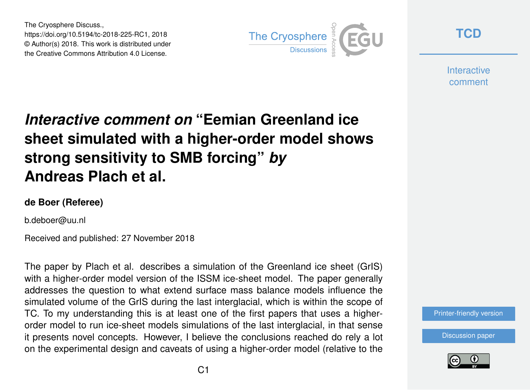The Cryosphere Discuss., https://doi.org/10.5194/tc-2018-225-RC1, 2018 © Author(s) 2018. This work is distributed under the Creative Commons Attribution 4.0 License.



**[TCD](https://www.the-cryosphere-discuss.net/)**

**Interactive** comment

# *Interactive comment on* **"Eemian Greenland ice sheet simulated with a higher-order model shows strong sensitivity to SMB forcing"** *by* **Andreas Plach et al.**

### **de Boer (Referee)**

b.deboer@uu.nl

Received and published: 27 November 2018

The paper by Plach et al. describes a simulation of the Greenland ice sheet (GrIS) with a higher-order model version of the ISSM ice-sheet model. The paper generally addresses the question to what extend surface mass balance models influence the simulated volume of the GrIS during the last interglacial, which is within the scope of TC. To my understanding this is at least one of the first papers that uses a higherorder model to run ice-sheet models simulations of the last interglacial, in that sense it presents novel concepts. However, I believe the conclusions reached do rely a lot on the experimental design and caveats of using a higher-order model (relative to the

[Printer-friendly version](https://www.the-cryosphere-discuss.net/tc-2018-225/tc-2018-225-RC1-print.pdf)

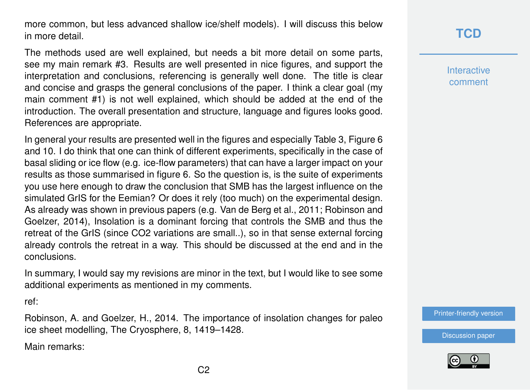more common, but less advanced shallow ice/shelf models). I will discuss this below in more detail.

The methods used are well explained, but needs a bit more detail on some parts, see my main remark #3. Results are well presented in nice figures, and support the interpretation and conclusions, referencing is generally well done. The title is clear and concise and grasps the general conclusions of the paper. I think a clear goal (my main comment #1) is not well explained, which should be added at the end of the introduction. The overall presentation and structure, language and figures looks good. References are appropriate.

In general your results are presented well in the figures and especially Table 3, Figure 6 and 10. I do think that one can think of different experiments, specifically in the case of basal sliding or ice flow (e.g. ice-flow parameters) that can have a larger impact on your results as those summarised in figure 6. So the question is, is the suite of experiments you use here enough to draw the conclusion that SMB has the largest influence on the simulated GrIS for the Eemian? Or does it rely (too much) on the experimental design. As already was shown in previous papers (e.g. Van de Berg et al., 2011; Robinson and Goelzer, 2014), Insolation is a dominant forcing that controls the SMB and thus the retreat of the GrIS (since CO2 variations are small..), so in that sense external forcing already controls the retreat in a way. This should be discussed at the end and in the conclusions.

In summary, I would say my revisions are minor in the text, but I would like to see some additional experiments as mentioned in my comments.

ref:

Robinson, A. and Goelzer, H., 2014. The importance of insolation changes for paleo ice sheet modelling, The Cryosphere, 8, 1419–1428.

Main remarks:

### **[TCD](https://www.the-cryosphere-discuss.net/)**

**Interactive** comment

[Printer-friendly version](https://www.the-cryosphere-discuss.net/tc-2018-225/tc-2018-225-RC1-print.pdf)



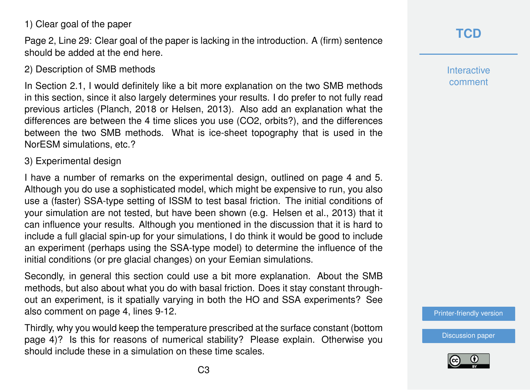### 1) Clear goal of the paper

Page 2, Line 29: Clear goal of the paper is lacking in the introduction. A (firm) sentence should be added at the end here.

### 2) Description of SMB methods

In Section 2.1, I would definitely like a bit more explanation on the two SMB methods in this section, since it also largely determines your results. I do prefer to not fully read previous articles (Planch, 2018 or Helsen, 2013). Also add an explanation what the differences are between the 4 time slices you use (CO2, orbits?), and the differences between the two SMB methods. What is ice-sheet topography that is used in the NorESM simulations, etc.?

### 3) Experimental design

I have a number of remarks on the experimental design, outlined on page 4 and 5. Although you do use a sophisticated model, which might be expensive to run, you also use a (faster) SSA-type setting of ISSM to test basal friction. The initial conditions of your simulation are not tested, but have been shown (e.g. Helsen et al., 2013) that it can influence your results. Although you mentioned in the discussion that it is hard to include a full glacial spin-up for your simulations, I do think it would be good to include an experiment (perhaps using the SSA-type model) to determine the influence of the initial conditions (or pre glacial changes) on your Eemian simulations.

Secondly, in general this section could use a bit more explanation. About the SMB methods, but also about what you do with basal friction. Does it stay constant throughout an experiment, is it spatially varying in both the HO and SSA experiments? See also comment on page 4, lines 9-12.

Thirdly, why you would keep the temperature prescribed at the surface constant (bottom page 4)? Is this for reasons of numerical stability? Please explain. Otherwise you should include these in a simulation on these time scales.

**Interactive** comment

[Printer-friendly version](https://www.the-cryosphere-discuss.net/tc-2018-225/tc-2018-225-RC1-print.pdf)

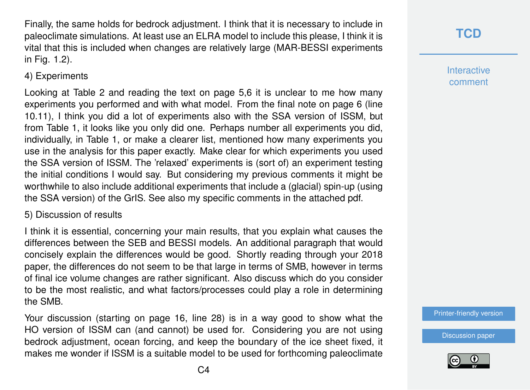Finally, the same holds for bedrock adjustment. I think that it is necessary to include in paleoclimate simulations. At least use an ELRA model to include this please, I think it is vital that this is included when changes are relatively large (MAR-BESSI experiments in Fig. 1.2).

### 4) Experiments

Looking at Table 2 and reading the text on page 5,6 it is unclear to me how many experiments you performed and with what model. From the final note on page 6 (line 10.11), I think you did a lot of experiments also with the SSA version of ISSM, but from Table 1, it looks like you only did one. Perhaps number all experiments you did, individually, in Table 1, or make a clearer list, mentioned how many experiments you use in the analysis for this paper exactly. Make clear for which experiments you used the SSA version of ISSM. The 'relaxed' experiments is (sort of) an experiment testing the initial conditions I would say. But considering my previous comments it might be worthwhile to also include additional experiments that include a (glacial) spin-up (using the SSA version) of the GrIS. See also my specific comments in the attached pdf.

### 5) Discussion of results

I think it is essential, concerning your main results, that you explain what causes the differences between the SEB and BESSI models. An additional paragraph that would concisely explain the differences would be good. Shortly reading through your 2018 paper, the differences do not seem to be that large in terms of SMB, however in terms of final ice volume changes are rather significant. Also discuss which do you consider to be the most realistic, and what factors/processes could play a role in determining the SMB.

Your discussion (starting on page 16, line 28) is in a way good to show what the HO version of ISSM can (and cannot) be used for. Considering you are not using bedrock adjustment, ocean forcing, and keep the boundary of the ice sheet fixed, it makes me wonder if ISSM is a suitable model to be used for forthcoming paleoclimate

## **[TCD](https://www.the-cryosphere-discuss.net/)**

**Interactive** comment

[Printer-friendly version](https://www.the-cryosphere-discuss.net/tc-2018-225/tc-2018-225-RC1-print.pdf)

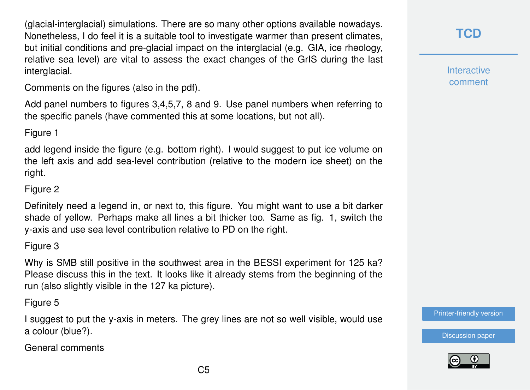(glacial-interglacial) simulations. There are so many other options available nowadays. Nonetheless, I do feel it is a suitable tool to investigate warmer than present climates, but initial conditions and pre-glacial impact on the interglacial (e.g. GIA, ice rheology, relative sea level) are vital to assess the exact changes of the GrIS during the last interglacial.

Comments on the figures (also in the pdf).

Add panel numbers to figures 3,4,5,7, 8 and 9. Use panel numbers when referring to the specific panels (have commented this at some locations, but not all).

### Figure 1

add legend inside the figure (e.g. bottom right). I would suggest to put ice volume on the left axis and add sea-level contribution (relative to the modern ice sheet) on the right.

### Figure 2

Definitely need a legend in, or next to, this figure. You might want to use a bit darker shade of yellow. Perhaps make all lines a bit thicker too. Same as fig. 1, switch the y-axis and use sea level contribution relative to PD on the right.

### Figure 3

Why is SMB still positive in the southwest area in the BESSI experiment for 125 ka? Please discuss this in the text. It looks like it already stems from the beginning of the run (also slightly visible in the 127 ka picture).

### Figure 5

I suggest to put the y-axis in meters. The grey lines are not so well visible, would use a colour (blue?).

General comments

## **[TCD](https://www.the-cryosphere-discuss.net/)**

**Interactive** comment

[Printer-friendly version](https://www.the-cryosphere-discuss.net/tc-2018-225/tc-2018-225-RC1-print.pdf)